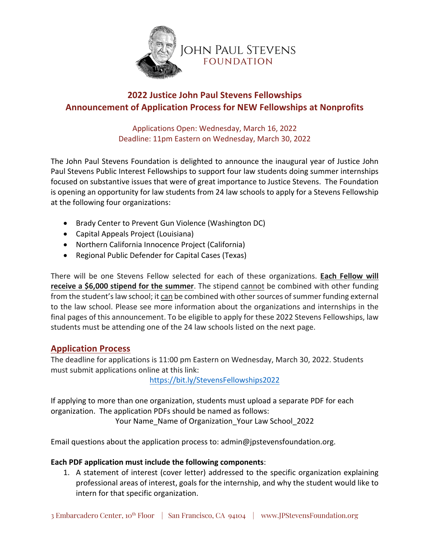

## **2022 Justice John Paul Stevens Fellowships Announcement of Application Process for NEW Fellowships at Nonprofits**

Applications Open: Wednesday, March 16, 2022 Deadline: 11pm Eastern on Wednesday, March 30, 2022

The John Paul Stevens Foundation is delighted to announce the inaugural year of Justice John Paul Stevens Public Interest Fellowships to support four law students doing summer internships focused on substantive issues that were of great importance to Justice Stevens. The Foundation is opening an opportunity for law students from 24 law schools to apply for a Stevens Fellowship at the following four organizations:

- Brady Center to Prevent Gun Violence (Washington DC)
- Capital Appeals Project (Louisiana)
- Northern California Innocence Project (California)
- Regional Public Defender for Capital Cases (Texas)

There will be one Stevens Fellow selected for each of these organizations. **Each Fellow will receive a \$6,000 stipend for the summer**. The stipend cannot be combined with other funding from the student's law school; it can be combined with other sources of summer funding external to the law school. Please see more information about the organizations and internships in the final pages of this announcement. To be eligible to apply for these 2022 Stevens Fellowships, law students must be attending one of the 24 law schools listed on the next page.

### **Application Process**

The deadline for applications is 11:00 pm Eastern on Wednesday, March 30, 2022. Students must submit applications online at this link:

https://bit.ly/StevensFellowships2022

If applying to more than one organization, students must upload a separate PDF for each organization. The application PDFs should be named as follows: Your Name\_Name of Organization\_Your Law School\_2022

Email questions about the application process to: admin@jpstevensfoundation.org.

#### **Each PDF application must include the following components**:

1. A statement of interest (cover letter) addressed to the specific organization explaining professional areas of interest, goals for the internship, and why the student would like to intern for that specific organization.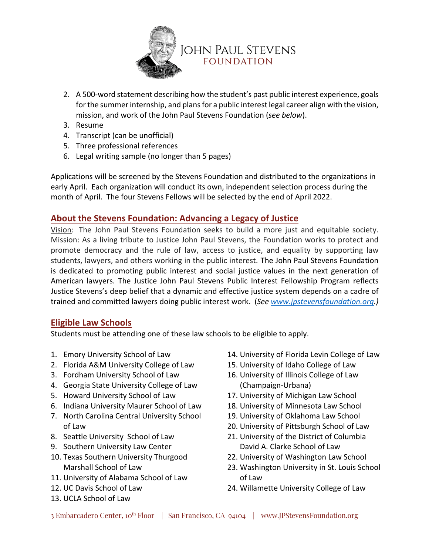

- 2. A 500-word statement describing how the student's past public interest experience, goals for the summer internship, and plans for a public interest legal career align with the vision, mission, and work of the John Paul Stevens Foundation (*see below*).
- 3. Resume
- 4. Transcript (can be unofficial)
- 5. Three professional references
- 6. Legal writing sample (no longer than 5 pages)

Applications will be screened by the Stevens Foundation and distributed to the organizations in early April. Each organization will conduct its own, independent selection process during the month of April. The four Stevens Fellows will be selected by the end of April 2022.

### **About the Stevens Foundation: Advancing a Legacy of Justice**

Vision: The John Paul Stevens Foundation seeks to build a more just and equitable society. Mission: As a living tribute to Justice John Paul Stevens, the Foundation works to protect and promote democracy and the rule of law, access to justice, and equality by supporting law students, lawyers, and others working in the public interest. The John Paul Stevens Foundation is dedicated to promoting public interest and social justice values in the next generation of American lawyers. The Justice John Paul Stevens Public Interest Fellowship Program reflects Justice Stevens's deep belief that a dynamic and effective justice system depends on a cadre of trained and committed lawyers doing public interest work. (*See www.jpstevensfoundation.org.)*

### **Eligible Law Schools**

Students must be attending one of these law schools to be eligible to apply.

- 1. Emory University School of Law
- 2. Florida A&M University College of Law
- 3. Fordham University School of Law
- 4. Georgia State University College of Law
- 5. Howard University School of Law
- 6. Indiana University Maurer School of Law
- 7. North Carolina Central University School of Law
- 8. Seattle University School of Law
- 9. Southern University Law Center
- 10. Texas Southern University Thurgood Marshall School of Law
- 11. University of Alabama School of Law
- 12. UC Davis School of Law
- 13. UCLA School of Law
- 14. University of Florida Levin College of Law
- 15. University of Idaho College of Law
- 16. University of Illinois College of Law (Champaign-Urbana)
- 17. University of Michigan Law School
- 18. University of Minnesota Law School
- 19. University of Oklahoma Law School
- 20. University of Pittsburgh School of Law
- 21. University of the District of Columbia David A. Clarke School of Law
- 22. University of Washington Law School
- 23. Washington University in St. Louis School of Law
- 24. Willamette University College of Law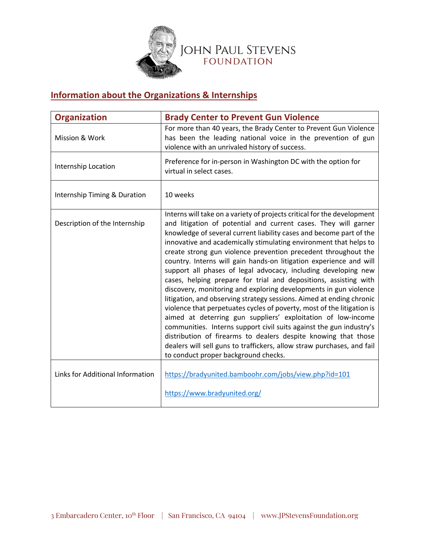

# **Information about the Organizations & Internships**

| <b>Organization</b>              | <b>Brady Center to Prevent Gun Violence</b>                                                                                                                                                                                                                                                                                                                                                                                                                                                                                                                                                                                                                                                                                                                                                                                                                                                                                                                                                                                                                                                                           |
|----------------------------------|-----------------------------------------------------------------------------------------------------------------------------------------------------------------------------------------------------------------------------------------------------------------------------------------------------------------------------------------------------------------------------------------------------------------------------------------------------------------------------------------------------------------------------------------------------------------------------------------------------------------------------------------------------------------------------------------------------------------------------------------------------------------------------------------------------------------------------------------------------------------------------------------------------------------------------------------------------------------------------------------------------------------------------------------------------------------------------------------------------------------------|
| Mission & Work                   | For more than 40 years, the Brady Center to Prevent Gun Violence<br>has been the leading national voice in the prevention of gun<br>violence with an unrivaled history of success.                                                                                                                                                                                                                                                                                                                                                                                                                                                                                                                                                                                                                                                                                                                                                                                                                                                                                                                                    |
| Internship Location              | Preference for in-person in Washington DC with the option for<br>virtual in select cases.                                                                                                                                                                                                                                                                                                                                                                                                                                                                                                                                                                                                                                                                                                                                                                                                                                                                                                                                                                                                                             |
| Internship Timing & Duration     | 10 weeks                                                                                                                                                                                                                                                                                                                                                                                                                                                                                                                                                                                                                                                                                                                                                                                                                                                                                                                                                                                                                                                                                                              |
| Description of the Internship    | Interns will take on a variety of projects critical for the development<br>and litigation of potential and current cases. They will garner<br>knowledge of several current liability cases and become part of the<br>innovative and academically stimulating environment that helps to<br>create strong gun violence prevention precedent throughout the<br>country. Interns will gain hands-on litigation experience and will<br>support all phases of legal advocacy, including developing new<br>cases, helping prepare for trial and depositions, assisting with<br>discovery, monitoring and exploring developments in gun violence<br>litigation, and observing strategy sessions. Aimed at ending chronic<br>violence that perpetuates cycles of poverty, most of the litigation is<br>aimed at deterring gun suppliers' exploitation of low-income<br>communities. Interns support civil suits against the gun industry's<br>distribution of firearms to dealers despite knowing that those<br>dealers will sell guns to traffickers, allow straw purchases, and fail<br>to conduct proper background checks. |
| Links for Additional Information | https://bradyunited.bamboohr.com/jobs/view.php?id=101                                                                                                                                                                                                                                                                                                                                                                                                                                                                                                                                                                                                                                                                                                                                                                                                                                                                                                                                                                                                                                                                 |
|                                  | https://www.bradyunited.org/                                                                                                                                                                                                                                                                                                                                                                                                                                                                                                                                                                                                                                                                                                                                                                                                                                                                                                                                                                                                                                                                                          |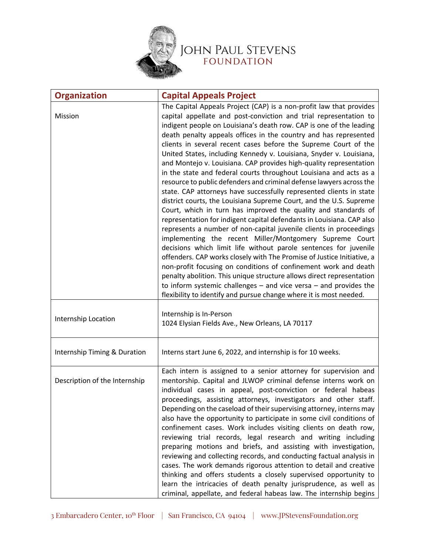

| <b>Organization</b>           | <b>Capital Appeals Project</b>                                                                                                                                                                                                                                                                                                                                                                                                                                                                                                                                                                                                                                                                                                                                                                                                                                                                                                                                                                                                                                                                                                                                                                                                                                                                                                                                                                                                                                                                                      |
|-------------------------------|---------------------------------------------------------------------------------------------------------------------------------------------------------------------------------------------------------------------------------------------------------------------------------------------------------------------------------------------------------------------------------------------------------------------------------------------------------------------------------------------------------------------------------------------------------------------------------------------------------------------------------------------------------------------------------------------------------------------------------------------------------------------------------------------------------------------------------------------------------------------------------------------------------------------------------------------------------------------------------------------------------------------------------------------------------------------------------------------------------------------------------------------------------------------------------------------------------------------------------------------------------------------------------------------------------------------------------------------------------------------------------------------------------------------------------------------------------------------------------------------------------------------|
| Mission                       | The Capital Appeals Project (CAP) is a non-profit law that provides<br>capital appellate and post-conviction and trial representation to<br>indigent people on Louisiana's death row. CAP is one of the leading<br>death penalty appeals offices in the country and has represented<br>clients in several recent cases before the Supreme Court of the<br>United States, including Kennedy v. Louisiana, Snyder v. Louisiana,<br>and Montejo v. Louisiana. CAP provides high-quality representation<br>in the state and federal courts throughout Louisiana and acts as a<br>resource to public defenders and criminal defense lawyers across the<br>state. CAP attorneys have successfully represented clients in state<br>district courts, the Louisiana Supreme Court, and the U.S. Supreme<br>Court, which in turn has improved the quality and standards of<br>representation for indigent capital defendants in Louisiana. CAP also<br>represents a number of non-capital juvenile clients in proceedings<br>implementing the recent Miller/Montgomery Supreme Court<br>decisions which limit life without parole sentences for juvenile<br>offenders. CAP works closely with The Promise of Justice Initiative, a<br>non-profit focusing on conditions of confinement work and death<br>penalty abolition. This unique structure allows direct representation<br>to inform systemic challenges $-$ and vice versa $-$ and provides the<br>flexibility to identify and pursue change where it is most needed. |
| Internship Location           | Internship is In-Person<br>1024 Elysian Fields Ave., New Orleans, LA 70117                                                                                                                                                                                                                                                                                                                                                                                                                                                                                                                                                                                                                                                                                                                                                                                                                                                                                                                                                                                                                                                                                                                                                                                                                                                                                                                                                                                                                                          |
| Internship Timing & Duration  | Interns start June 6, 2022, and internship is for 10 weeks.                                                                                                                                                                                                                                                                                                                                                                                                                                                                                                                                                                                                                                                                                                                                                                                                                                                                                                                                                                                                                                                                                                                                                                                                                                                                                                                                                                                                                                                         |
| Description of the Internship | Each intern is assigned to a senior attorney for supervision and<br>mentorship. Capital and JLWOP criminal defense interns work on<br>individual cases in appeal, post-conviction or federal habeas<br>proceedings, assisting attorneys, investigators and other staff.<br>Depending on the caseload of their supervising attorney, interns may<br>also have the opportunity to participate in some civil conditions of<br>confinement cases. Work includes visiting clients on death row,<br>reviewing trial records, legal research and writing including<br>preparing motions and briefs, and assisting with investigation,<br>reviewing and collecting records, and conducting factual analysis in<br>cases. The work demands rigorous attention to detail and creative<br>thinking and offers students a closely supervised opportunity to<br>learn the intricacies of death penalty jurisprudence, as well as<br>criminal, appellate, and federal habeas law. The internship begins                                                                                                                                                                                                                                                                                                                                                                                                                                                                                                                           |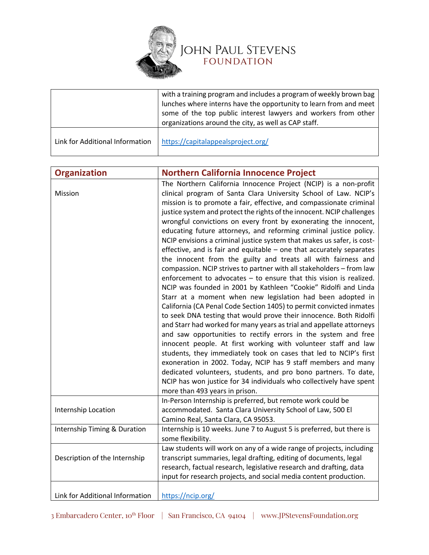

|                                 | with a training program and includes a program of weekly brown bag<br>lunches where interns have the opportunity to learn from and meet<br>some of the top public interest lawyers and workers from other<br>organizations around the city, as well as CAP staff. |
|---------------------------------|-------------------------------------------------------------------------------------------------------------------------------------------------------------------------------------------------------------------------------------------------------------------|
| Link for Additional Information | https://capitalappealsproject.org/                                                                                                                                                                                                                                |

| <b>Organization</b>             | <b>Northern California Innocence Project</b>                                                                                                                                                                                                                                                                                                                                                                                                                                                                                                                                                                                                                                                                                                                                                                                                                                                                                                                                                                                                                                                                                                                                                                                                                                                                                                                                                                                                                                                                                                                                                                     |
|---------------------------------|------------------------------------------------------------------------------------------------------------------------------------------------------------------------------------------------------------------------------------------------------------------------------------------------------------------------------------------------------------------------------------------------------------------------------------------------------------------------------------------------------------------------------------------------------------------------------------------------------------------------------------------------------------------------------------------------------------------------------------------------------------------------------------------------------------------------------------------------------------------------------------------------------------------------------------------------------------------------------------------------------------------------------------------------------------------------------------------------------------------------------------------------------------------------------------------------------------------------------------------------------------------------------------------------------------------------------------------------------------------------------------------------------------------------------------------------------------------------------------------------------------------------------------------------------------------------------------------------------------------|
| Mission                         | The Northern California Innocence Project (NCIP) is a non-profit<br>clinical program of Santa Clara University School of Law. NCIP's<br>mission is to promote a fair, effective, and compassionate criminal<br>justice system and protect the rights of the innocent. NCIP challenges<br>wrongful convictions on every front by exonerating the innocent,<br>educating future attorneys, and reforming criminal justice policy.<br>NCIP envisions a criminal justice system that makes us safer, is cost-<br>effective, and is fair and equitable $-$ one that accurately separates<br>the innocent from the guilty and treats all with fairness and<br>compassion. NCIP strives to partner with all stakeholders - from law<br>enforcement to advocates $-$ to ensure that this vision is realized.<br>NCIP was founded in 2001 by Kathleen "Cookie" Ridolfi and Linda<br>Starr at a moment when new legislation had been adopted in<br>California (CA Penal Code Section 1405) to permit convicted inmates<br>to seek DNA testing that would prove their innocence. Both Ridolfi<br>and Starr had worked for many years as trial and appellate attorneys<br>and saw opportunities to rectify errors in the system and free<br>innocent people. At first working with volunteer staff and law<br>students, they immediately took on cases that led to NCIP's first<br>exoneration in 2002. Today, NCIP has 9 staff members and many<br>dedicated volunteers, students, and pro bono partners. To date,<br>NCIP has won justice for 34 individuals who collectively have spent<br>more than 493 years in prison. |
| Internship Location             | In-Person Internship is preferred, but remote work could be<br>accommodated. Santa Clara University School of Law, 500 El<br>Camino Real, Santa Clara, CA 95053.                                                                                                                                                                                                                                                                                                                                                                                                                                                                                                                                                                                                                                                                                                                                                                                                                                                                                                                                                                                                                                                                                                                                                                                                                                                                                                                                                                                                                                                 |
| Internship Timing & Duration    | Internship is 10 weeks. June 7 to August 5 is preferred, but there is<br>some flexibility.                                                                                                                                                                                                                                                                                                                                                                                                                                                                                                                                                                                                                                                                                                                                                                                                                                                                                                                                                                                                                                                                                                                                                                                                                                                                                                                                                                                                                                                                                                                       |
| Description of the Internship   | Law students will work on any of a wide range of projects, including<br>transcript summaries, legal drafting, editing of documents, legal<br>research, factual research, legislative research and drafting, data<br>input for research projects, and social media content production.                                                                                                                                                                                                                                                                                                                                                                                                                                                                                                                                                                                                                                                                                                                                                                                                                                                                                                                                                                                                                                                                                                                                                                                                                                                                                                                            |
| Link for Additional Information | https://ncip.org/                                                                                                                                                                                                                                                                                                                                                                                                                                                                                                                                                                                                                                                                                                                                                                                                                                                                                                                                                                                                                                                                                                                                                                                                                                                                                                                                                                                                                                                                                                                                                                                                |